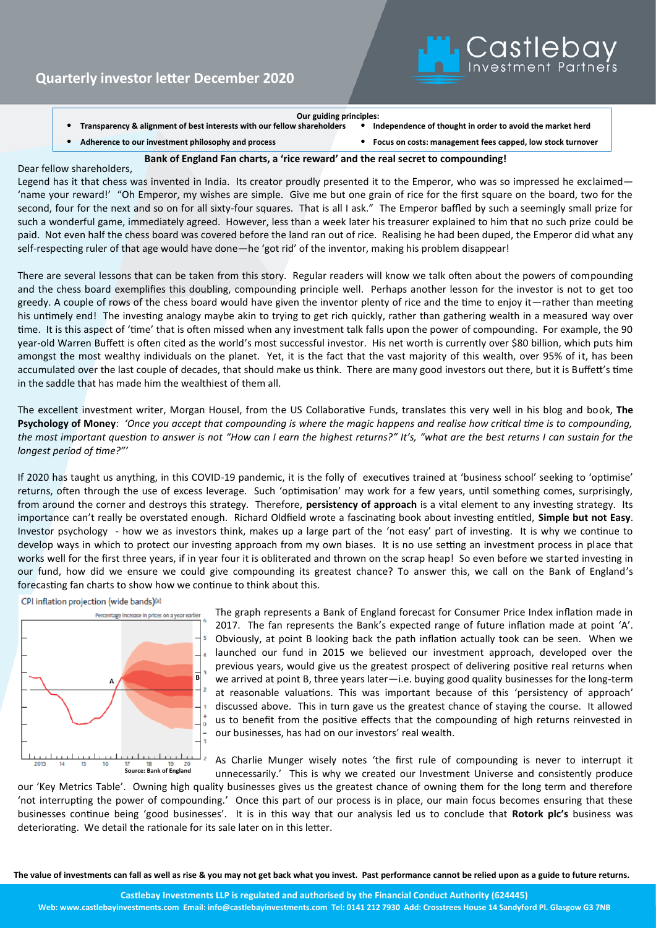

**Our guiding principles: •** Transparency & alignment of best interests with our fellow shareholders

• **Adherence to our investment philosophy and process** • **Focus on costs: management fees capped, low stock turnover**

## **Bank of England Fan charts, a 'rice reward' and the real secret to compounding!**

## Dear fellow shareholders,

Legend has it that chess was invented in India. Its creator proudly presented it to the Emperor, who was so impressed he exclaimed-'name your reward!' "Oh Emperor, my wishes are simple. Give me but one grain of rice for the first square on the board, two for the second, four for the next and so on for all sixty-four squares. That is all I ask." The Emperor baffled by such a seemingly small prize for such a wonderful game, immediately agreed. However, less than a week later his treasurer explained to him that no such prize could be paid. Not even half the chess board was covered before the land ran out of rice. Realising he had been duped, the Emperor did what any self-respecting ruler of that age would have done—he 'got rid' of the inventor, making his problem disappear!

There are several lessons that can be taken from this story. Regular readers will know we talk often about the powers of compounding and the chess board exemplifies this doubling, compounding principle well. Perhaps another lesson for the investor is not to get too greedy. A couple of rows of the chess board would have given the inventor plenty of rice and the time to enjoy it—rather than meeting his untimely end! The investing analogy maybe akin to trying to get rich quickly, rather than gathering wealth in a measured way over time. It is this aspect of 'time' that is often missed when any investment talk falls upon the power of compounding. For example, the 90 year-old Warren Buffett is often cited as the world's most successful investor. His net worth is currently over \$80 billion, which puts him amongst the most wealthy individuals on the planet. Yet, it is the fact that the vast majority of this wealth, over 95% of it, has been accumulated over the last couple of decades, that should make us think. There are many good investors out there, but it is Buffett's time in the saddle that has made him the wealthiest of them all.

The excellent investment writer, Morgan Housel, from the US Collaborative Funds, translates this very well in his blog and book, **The Psychology of Money**: *'Once you accept that compounding is where the magic happens and realise how critical time is to compounding, the most important question to answer is not "How can I earn the highest returns?" It's, "what are the best returns I can sustain for the longest period of time?"'* 

If 2020 has taught us anything, in this COVID-19 pandemic, it is the folly of executives trained at 'business school' seeking to 'optimise' returns, often through the use of excess leverage. Such 'optimisation' may work for a few years, until something comes, surprisingly, from around the corner and destroys this strategy. Therefore, **persistency of approach** is a vital element to any investing strategy. Its importance can't really be overstated enough. Richard Oldfield wrote a fascinating book about investing entitled, **Simple but not Easy**. Investor psychology - how we as investors think, makes up a large part of the 'not easy' part of investing. It is why we continue to develop ways in which to protect our investing approach from my own biases. It is no use setting an investment process in place that works well for the first three years, if in year four it is obliterated and thrown on the scrap heap! So even before we started investing in our fund, how did we ensure we could give compounding its greatest chance? To answer this, we call on the Bank of England's forecasting fan charts to show how we continue to think about this.

CPI inflation projection (wide bands)<sup>(a)</sup>



The graph represents a Bank of England forecast for Consumer Price Index inflation made in 2017. The fan represents the Bank's expected range of future inflation made at point 'A'. Obviously, at point B looking back the path inflation actually took can be seen. When we launched our fund in 2015 we believed our investment approach, developed over the previous years, would give us the greatest prospect of delivering positive real returns when we arrived at point B, three years later—i.e. buying good quality businesses for the long-term at reasonable valuations. This was important because of this 'persistency of approach' discussed above. This in turn gave us the greatest chance of staying the course. It allowed us to benefit from the positive effects that the compounding of high returns reinvested in our businesses, has had on our investors' real wealth.

As Charlie Munger wisely notes 'the first rule of compounding is never to interrupt it unnecessarily.' This is why we created our Investment Universe and consistently produce

our 'Key Metrics Table'. Owning high quality businesses gives us the greatest chance of owning them for the long term and therefore 'not interrupting the power of compounding.' Once this part of our process is in place, our main focus becomes ensuring that these businesses continue being 'good businesses'. It is in this way that our analysis led us to conclude that **Rotork plc's** business was deteriorating. We detail the rationale for its sale later on in this letter.

**The value of investments can fall as well as rise & you may not get back what you invest. Past performance cannot be relied upon as a guide to future returns.**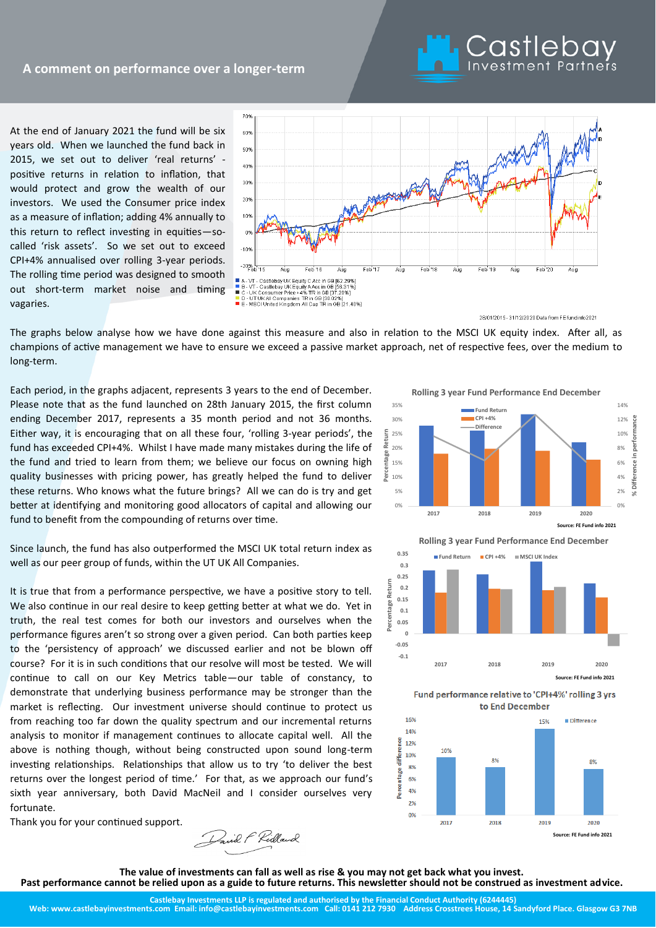At the end of January 2021 the fund will be six years old. When we launched the fund back in 2015, we set out to deliver 'real returns' positive returns in relation to inflation, that would protect and grow the wealth of our investors. We used the Consumer price index as a measure of inflation; adding 4% annually to this return to reflect investing in equities—socalled 'risk assets'. So we set out to exceed CPI+4% annualised over rolling 3-year periods. The rolling time period was designed to smooth out short-term market noise and timing vagaries.



28/01/2015 - 31/12/2020 Data from FE fundinfo2021

Castlebay

The graphs below analyse how we have done against this measure and also in relation to the MSCI UK equity index. After all, as champions of active management we have to ensure we exceed a passive market approach, net of respective fees, over the medium to long-term.

Each period, in the graphs adjacent, represents 3 years to the end of December. Please note that as the fund launched on 28th January 2015, the first column ending December 2017, represents a 35 month period and not 36 months. Either way, it is encouraging that on all these four, 'rolling 3-year periods', the fund has exceeded CPI+4%. Whilst I have made many mistakes during the life of the fund and tried to learn from them; we believe our focus on owning high quality businesses with pricing power, has greatly helped the fund to deliver these returns. Who knows what the future brings? All we can do is try and get better at identifying and monitoring good allocators of capital and allowing our fund to benefit from the compounding of returns over time.

Since launch, the fund has also outperformed the MSCI UK total return index as well as our peer group of funds, within the UT UK All Companies.

It is true that from a performance perspective, we have a positive story to tell. We also continue in our real desire to keep getting better at what we do. Yet in truth, the real test comes for both our investors and ourselves when the performance figures aren't so strong over a given period. Can both parties keep to the 'persistency of approach' we discussed earlier and not be blown off course? For it is in such conditions that our resolve will most be tested. We will continue to call on our Key Metrics table—our table of constancy, to demonstrate that underlying business performance may be stronger than the market is reflecting. Our investment universe should continue to protect us from reaching too far down the quality spectrum and our incremental returns analysis to monitor if management continues to allocate capital well. All the above is nothing though, without being constructed upon sound long-term investing relationships. Relationships that allow us to try 'to deliver the best returns over the longest period of time.' For that, as we approach our fund's sixth year anniversary, both David MacNeil and I consider ourselves very fortunate.

Thank you for your continued support.

Pavil F Ridland

**Rolling 3 year Fund Performance End December**



**Rolling 3 year Fund Performance End December**



**Source: FE Fund info 2021**

Fund performance relative to 'CPI+4%' rolling 3 vrs to End December



**The value of investments can fall as well as rise & you may not get back what you invest. Past performance cannot be relied upon as a guide to future returns. This newsletter should not be construed as investment advice.**